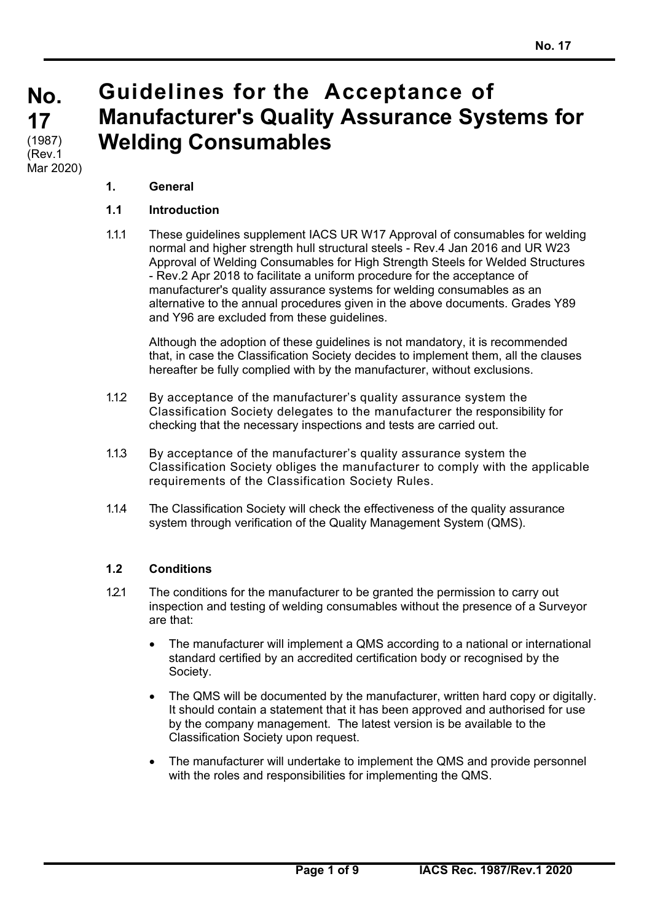# **Guidelines for the Acceptance of Manufacturer's Quality Assurance Systems for Welding Consumables**

# **1. General**

#### **1.1 Introduction**

1.1.1 These guidelines supplement IACS UR W17 Approval of consumables for welding normal and higher strength hull structural steels - Rev.4 Jan 2016 and UR W23 Approval of Welding Consumables for High Strength Steels for Welded Structures - Rev.2 Apr 2018 to facilitate a uniform procedure for the acceptance of manufacturer's quality assurance systems for welding consumables as an alternative to the annual procedures given in the above documents. Grades Y89 and Y96 are excluded from these guidelines.

 Although the adoption of these guidelines is not mandatory, it is recommended that, in case the Classification Society decides to implement them, all the clauses hereafter be fully complied with by the manufacturer, without exclusions.

- 1.12 By acceptance of the manufacturer's quality assurance system the Classification Society delegates to the manufacturer the responsibility for checking that the necessary inspections and tests are carried out.
- 1.1.3 By acceptance of the manufacturer's quality assurance system the Classification Society obliges the manufacturer to comply with the applicable requirements of the Classification Society Rules.
- 1.1.4 The Classification Society will check the effectiveness of the quality assurance system through verification of the Quality Management System (QMS).

#### **1.2 Conditions**

- 1.2.1 The conditions for the manufacturer to be granted the permission to carry out inspection and testing of welding consumables without the presence of a Surveyor are that:
	- The manufacturer will implement a QMS according to a national or international standard certified by an accredited certification body or recognised by the Society.
	- The QMS will be documented by the manufacturer, written hard copy or digitally. It should contain a statement that it has been approved and authorised for use by the company management. The latest version is be available to the Classification Society upon request.
	- The manufacturer will undertake to implement the QMS and provide personnel with the roles and responsibilities for implementing the QMS.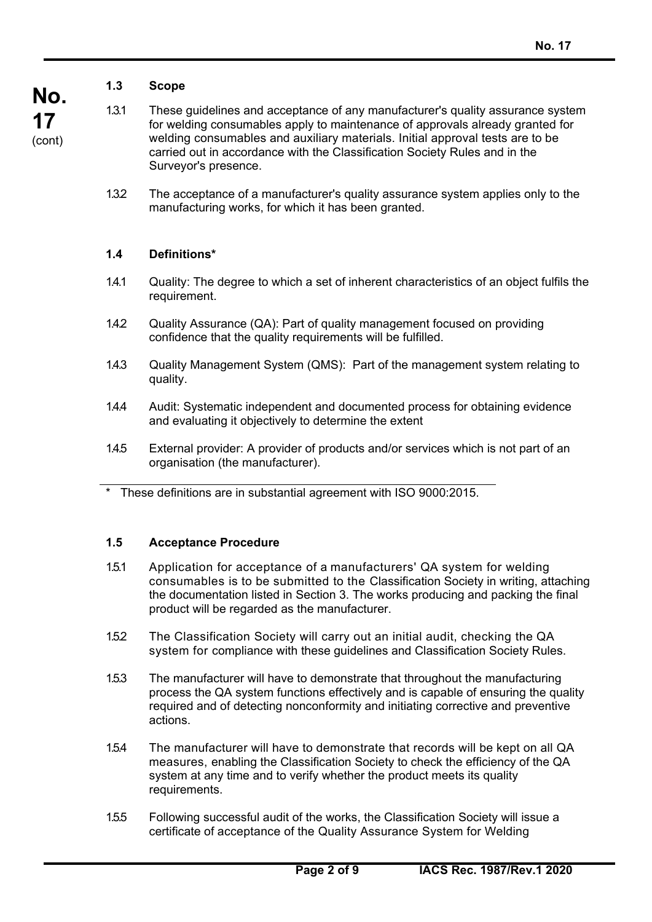# **1.3 Scope**

**No. 17**  (cont)

- 
- 1.3.1 These guidelines and acceptance of any manufacturer's quality assurance system for welding consumables apply to maintenance of approvals already granted for welding consumables and auxiliary materials. Initial approval tests are to be carried out in accordance with the Classification Society Rules and in the Surveyor's presence.
	- 1.32 The acceptance of a manufacturer's quality assurance system applies only to the manufacturing works, for which it has been granted.

### **1.4 Definitions\***

- 1.4.1 Quality: The degree to which a set of inherent characteristics of an object fulfils the requirement.
- 1.4.2 Quality Assurance (QA): Part of quality management focused on providing confidence that the quality requirements will be fulfilled.
- 1.4.3 Quality Management System (QMS): Part of the management system relating to quality.
- 1.4.4 Audit: Systematic independent and documented process for obtaining evidence and evaluating it objectively to determine the extent
- 1.4.5 External provider: A provider of products and/or services which is not part of an organisation (the manufacturer).
- These definitions are in substantial agreement with ISO 9000:2015.

#### **1.5 Acceptance Procedure**

- 1.5.1 Application for acceptance of a manufacturers' QA system for welding consumables is to be submitted to the Classification Society in writing, attaching the documentation listed in Section 3. The works producing and packing the final product will be regarded as the manufacturer.
- 1.52 The Classification Society will carry out an initial audit, checking the QA system for compliance with these guidelines and Classification Society Rules.
- 1.5.3 The manufacturer will have to demonstrate that throughout the manufacturing process the QA system functions effectively and is capable of ensuring the quality required and of detecting nonconformity and initiating corrective and preventive actions.
- 1.5.4 The manufacturer will have to demonstrate that records will be kept on all QA measures, enabling the Classification Society to check the efficiency of the QA system at any time and to verify whether the product meets its quality requirements.
- 1.5.5 Following successful audit of the works, the Classification Society will issue a certificate of acceptance of the Quality Assurance System for Welding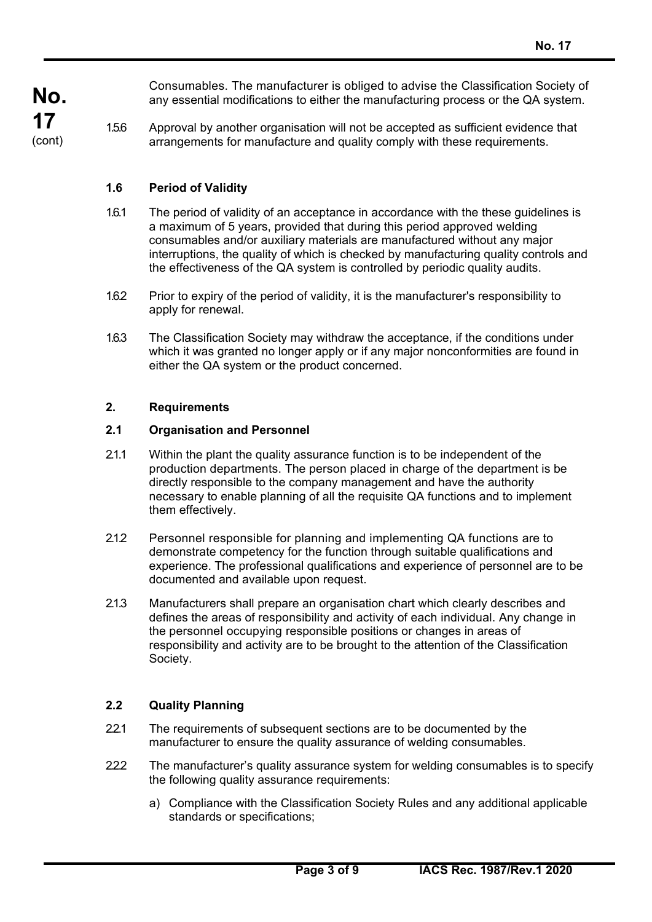Consumables. The manufacturer is obliged to advise the Classification Society of any essential modifications to either the manufacturing process or the QA system.

1.5.6 Approval by another organisation will not be accepted as sufficient evidence that arrangements for manufacture and quality comply with these requirements.

#### **1.6 Period of Validity**

- 1.6.1 The period of validity of an acceptance in accordance with the these guidelines is a maximum of 5 years, provided that during this period approved welding consumables and/or auxiliary materials are manufactured without any major interruptions, the quality of which is checked by manufacturing quality controls and the effectiveness of the QA system is controlled by periodic quality audits.
- 1.6.2 Prior to expiry of the period of validity, it is the manufacturer's responsibility to apply for renewal.
- 1.6.3 The Classification Society may withdraw the acceptance, if the conditions under which it was granted no longer apply or if any major nonconformities are found in either the QA system or the product concerned.

#### **2. Requirements**

#### **2.1 Organisation and Personnel**

- 2.1.1 Within the plant the quality assurance function is to be independent of the production departments. The person placed in charge of the department is be directly responsible to the company management and have the authority necessary to enable planning of all the requisite QA functions and to implement them effectively.
- 2.1.2 Personnel responsible for planning and implementing QA functions are to demonstrate competency for the function through suitable qualifications and experience. The professional qualifications and experience of personnel are to be documented and available upon request.
- 2.1.3 Manufacturers shall prepare an organisation chart which clearly describes and defines the areas of responsibility and activity of each individual. Any change in the personnel occupying responsible positions or changes in areas of responsibility and activity are to be brought to the attention of the Classification Society.

#### **2.2 Quality Planning**

- 2.2.1 The requirements of subsequent sections are to be documented by the manufacturer to ensure the quality assurance of welding consumables.
- 222 The manufacturer's quality assurance system for welding consumables is to specify the following quality assurance requirements:
	- a) Compliance with the Classification Society Rules and any additional applicable standards or specifications;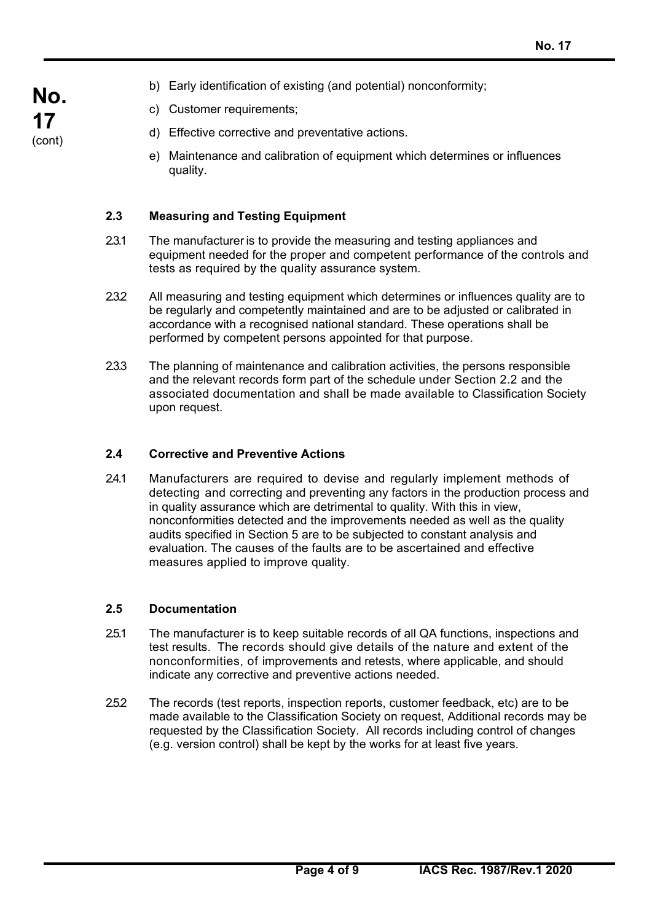- b) Early identification of existing (and potential) nonconformity;
- c) Customer requirements;
- d) Effective corrective and preventative actions.
- e) Maintenance and calibration of equipment which determines or influences quality.

#### **2.3 Measuring and Testing Equipment**

- 2.3.1 The manufacturer is to provide the measuring and testing appliances and equipment needed for the proper and competent performance of the controls and tests as required by the quality assurance system.
- 2.3.2 All measuring and testing equipment which determines or influences quality are to be regularly and competently maintained and are to be adjusted or calibrated in accordance with a recognised national standard. These operations shall be performed by competent persons appointed for that purpose.
- 2.3.3 The planning of maintenance and calibration activities, the persons responsible and the relevant records form part of the schedule under Section 2.2 and the associated documentation and shall be made available to Classification Society upon request.

#### **2.4 Corrective and Preventive Actions**

2.4.1 Manufacturers are required to devise and regularly implement methods of detecting and correcting and preventing any factors in the production process and in quality assurance which are detrimental to quality. With this in view, nonconformities detected and the improvements needed as well as the quality audits specified in Section 5 are to be subjected to constant analysis and evaluation. The causes of the faults are to be ascertained and effective measures applied to improve quality.

#### **2.5 Documentation**

- 2.5.1 The manufacturer is to keep suitable records of all QA functions, inspections and test results. The records should give details of the nature and extent of the nonconformities, of improvements and retests, where applicable, and should indicate any corrective and preventive actions needed.
- 2.5.2 The records (test reports, inspection reports, customer feedback, etc) are to be made available to the Classification Society on request, Additional records may be requested by the Classification Society. All records including control of changes (e.g. version control) shall be kept by the works for at least five years.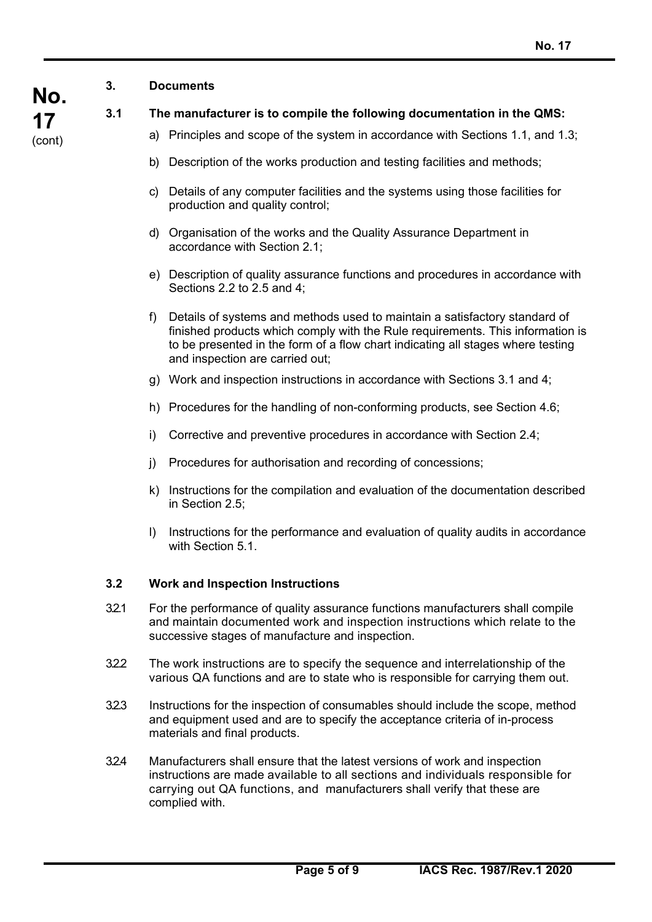#### **3. Documents**

# **3.1 The manufacturer is to compile the following documentation in the QMS:**

- a) Principles and scope of the system in accordance with Sections 1.1, and 1.3;
- b) Description of the works production and testing facilities and methods;
- c) Details of any computer facilities and the systems using those facilities for production and quality control;
- d) Organisation of the works and the Quality Assurance Department in accordance with Section 2.1;
- e) Description of quality assurance functions and procedures in accordance with Sections 2.2 to 2.5 and 4;
- f) Details of systems and methods used to maintain a satisfactory standard of finished products which comply with the Rule requirements. This information is to be presented in the form of a flow chart indicating all stages where testing and inspection are carried out;
- g) Work and inspection instructions in accordance with Sections 3.1 and 4;
- h) Procedures for the handling of non-conforming products, see Section 4.6;
- i) Corrective and preventive procedures in accordance with Section 2.4;
- j) Procedures for authorisation and recording of concessions;
- k) Instructions for the compilation and evaluation of the documentation described in Section 2.5;
- l) Instructions for the performance and evaluation of quality audits in accordance with Section 5.1.

#### **3.2 Work and Inspection Instructions**

- 3.2.1 For the performance of quality assurance functions manufacturers shall compile and maintain documented work and inspection instructions which relate to the successive stages of manufacture and inspection.
- 3.2.2 The work instructions are to specify the sequence and interrelationship of the various QA functions and are to state who is responsible for carrying them out.
- 3.2.3 Instructions for the inspection of consumables should include the scope, method and equipment used and are to specify the acceptance criteria of in-process materials and final products.
- 3.2.4 Manufacturers shall ensure that the latest versions of work and inspection instructions are made available to all sections and individuals responsible for carrying out QA functions, and manufacturers shall verify that these are complied with.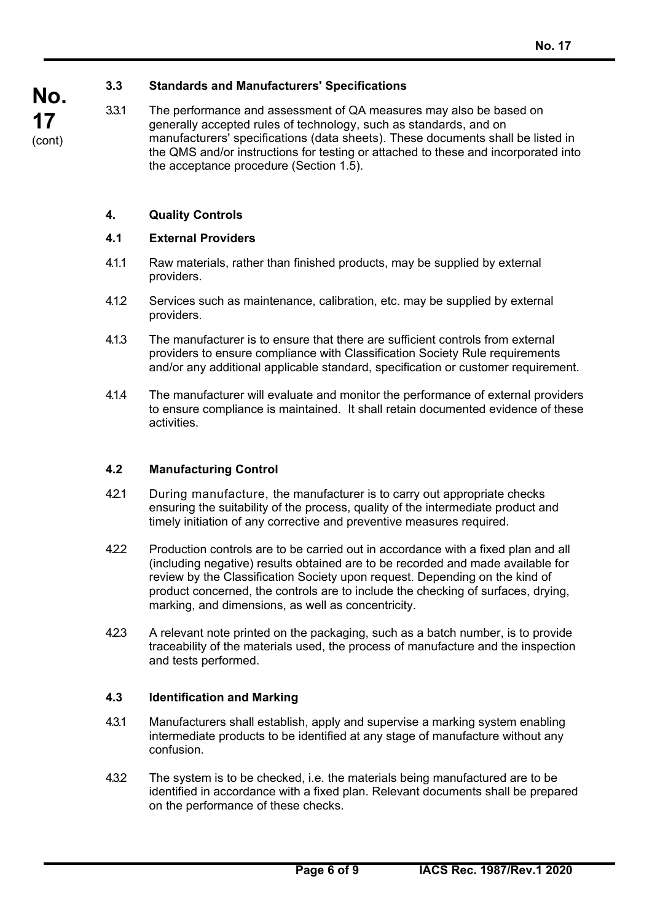#### **3.3 Standards and Manufacturers' Specifications**

3.3.1 The performance and assessment of QA measures may also be based on generally accepted rules of technology, such as standards, and on manufacturers' specifications (data sheets). These documents shall be listed in the QMS and/or instructions for testing or attached to these and incorporated into the acceptance procedure (Section 1.5).

#### **4. Quality Controls**

#### **4.1 External Providers**

- 4.1.1 Raw materials, rather than finished products, may be supplied by external providers.
- 4.1.2 Services such as maintenance, calibration, etc. may be supplied by external providers.
- 4.1.3 The manufacturer is to ensure that there are sufficient controls from external providers to ensure compliance with Classification Society Rule requirements and/or any additional applicable standard, specification or customer requirement.
- 4.1.4 The manufacturer will evaluate and monitor the performance of external providers to ensure compliance is maintained. It shall retain documented evidence of these activities.

#### **4.2 Manufacturing Control**

- 4.2.1 During manufacture, the manufacturer is to carry out appropriate checks ensuring the suitability of the process, quality of the intermediate product and timely initiation of any corrective and preventive measures required.
- 4.2.2 Production controls are to be carried out in accordance with a fixed plan and all (including negative) results obtained are to be recorded and made available for review by the Classification Society upon request. Depending on the kind of product concerned, the controls are to include the checking of surfaces, drying, marking, and dimensions, as well as concentricity.
- 4.2.3 A relevant note printed on the packaging, such as a batch number, is to provide traceability of the materials used, the process of manufacture and the inspection and tests performed.

#### **4.3 Identification and Marking**

- 4.3.1 Manufacturers shall establish, apply and supervise a marking system enabling intermediate products to be identified at any stage of manufacture without any confusion.
- 4.3.2 The system is to be checked, i.e. the materials being manufactured are to be identified in accordance with a fixed plan. Relevant documents shall be prepared on the performance of these checks.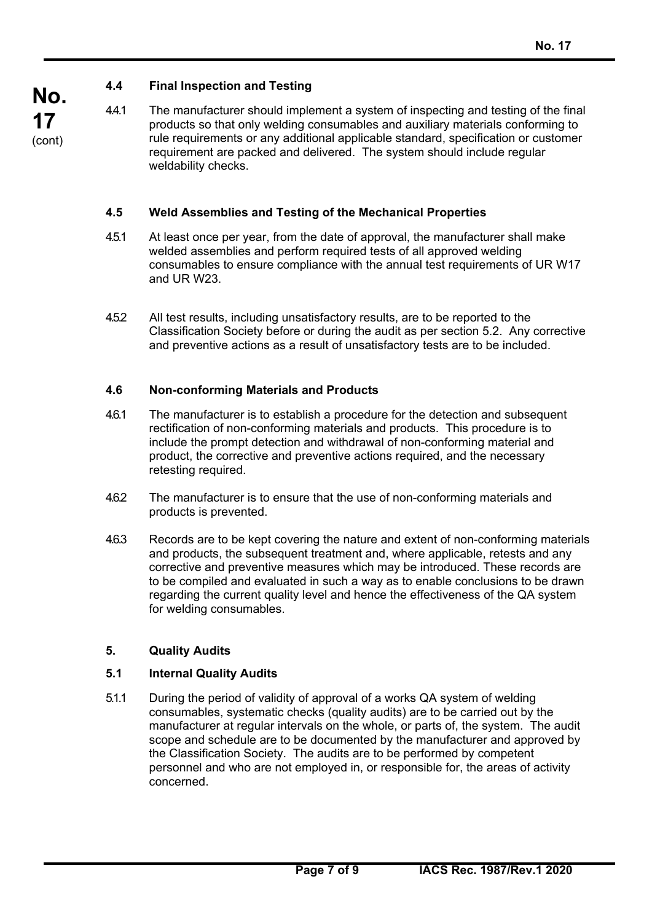# **4.4 Final Inspection and Testing**

**No. 17**  (cont)

4.4.1 The manufacturer should implement a system of inspecting and testing of the final products so that only welding consumables and auxiliary materials conforming to rule requirements or any additional applicable standard, specification or customer requirement are packed and delivered. The system should include regular weldability checks.

#### **4.5 Weld Assemblies and Testing of the Mechanical Properties**

- 4.5.1 At least once per year, from the date of approval, the manufacturer shall make welded assemblies and perform required tests of all approved welding consumables to ensure compliance with the annual test requirements of UR W17 and UR W23.
- 4.5.2 All test results, including unsatisfactory results, are to be reported to the Classification Society before or during the audit as per section 5.2. Any corrective and preventive actions as a result of unsatisfactory tests are to be included.

#### **4.6 Non-conforming Materials and Products**

- 4.6.1 The manufacturer is to establish a procedure for the detection and subsequent rectification of non-conforming materials and products. This procedure is to include the prompt detection and withdrawal of non-conforming material and product, the corrective and preventive actions required, and the necessary retesting required.
- 4.6.2 The manufacturer is to ensure that the use of non-conforming materials and products is prevented.
- 4.6.3 Records are to be kept covering the nature and extent of non-conforming materials and products, the subsequent treatment and, where applicable, retests and any corrective and preventive measures which may be introduced. These records are to be compiled and evaluated in such a way as to enable conclusions to be drawn regarding the current quality level and hence the effectiveness of the QA system for welding consumables.

#### **5. Quality Audits**

 $\overline{a}$ 

#### **5.1 Internal Quality Audits**

5.1.1 During the period of validity of approval of a works QA system of welding consumables, systematic checks (quality audits) are to be carried out by the manufacturer at regular intervals on the whole, or parts of, the system. The audit scope and schedule are to be documented by the manufacturer and approved by the Classification Society. The audits are to be performed by competent personnel and who are not employed in, or responsible for, the areas of activity concerned.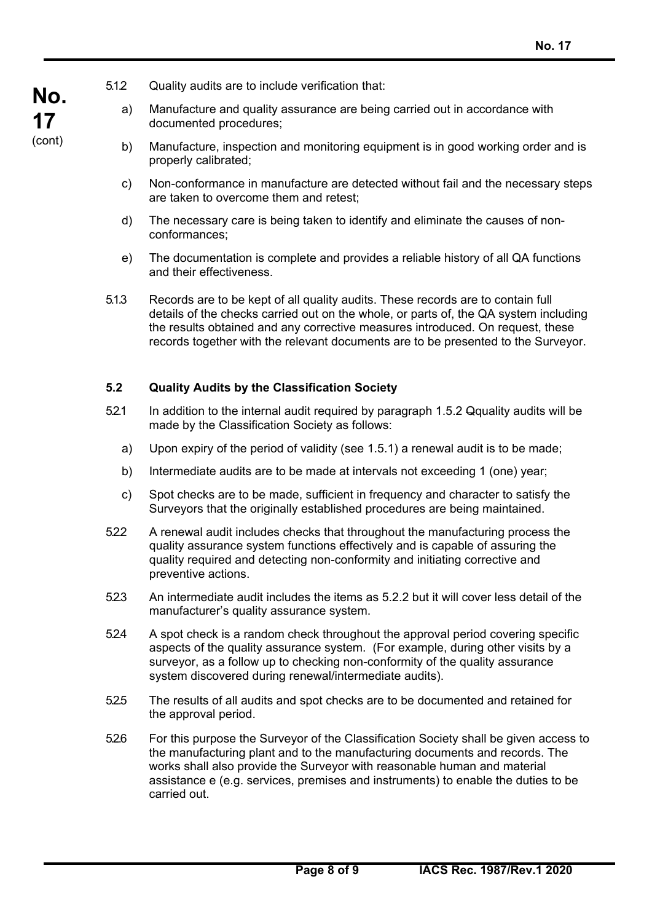$\overline{a}$ 

- 5.1.2 Quality audits are to include verification that:
	- a) Manufacture and quality assurance are being carried out in accordance with documented procedures;
	- b) Manufacture, inspection and monitoring equipment is in good working order and is properly calibrated;
	- c) Non-conformance in manufacture are detected without fail and the necessary steps are taken to overcome them and retest;
	- d) The necessary care is being taken to identify and eliminate the causes of nonconformances;
	- e) The documentation is complete and provides a reliable history of all QA functions and their effectiveness.
- 5.1.3 Records are to be kept of all quality audits. These records are to contain full details of the checks carried out on the whole, or parts of, the QA system including the results obtained and any corrective measures introduced. On request, these records together with the relevant documents are to be presented to the Surveyor.

#### **5.2 Quality Audits by the Classification Society**

- 5.2.1 In addition to the internal audit required by paragraph 1.5.2 Qquality audits will be made by the Classification Society as follows:
	- a) Upon expiry of the period of validity (see 1.5.1) a renewal audit is to be made;
	- b) Intermediate audits are to be made at intervals not exceeding 1 (one) year;
	- c) Spot checks are to be made, sufficient in frequency and character to satisfy the Surveyors that the originally established procedures are being maintained.
- 5.2.2 A renewal audit includes checks that throughout the manufacturing process the quality assurance system functions effectively and is capable of assuring the quality required and detecting non-conformity and initiating corrective and preventive actions.
- 523 An intermediate audit includes the items as 5.2.2 but it will cover less detail of the manufacturer's quality assurance system.
- 5.2.4 A spot check is a random check throughout the approval period covering specific aspects of the quality assurance system. (For example, during other visits by a surveyor, as a follow up to checking non-conformity of the quality assurance system discovered during renewal/intermediate audits).
- 5.2.5 The results of all audits and spot checks are to be documented and retained for the approval period.
- 5.2.6 For this purpose the Surveyor of the Classification Society shall be given access to the manufacturing plant and to the manufacturing documents and records. The works shall also provide the Surveyor with reasonable human and material assistance e (e.g. services, premises and instruments) to enable the duties to be carried out.